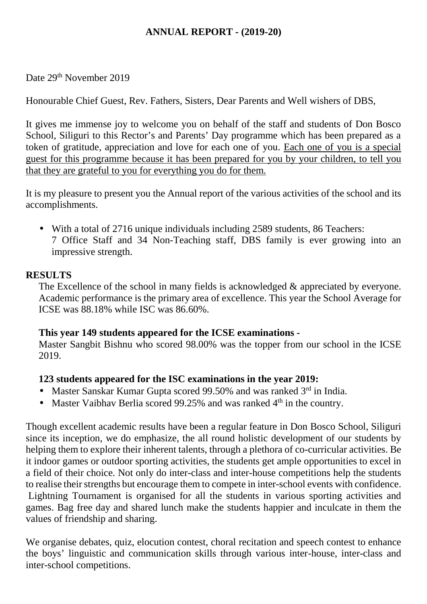# **ANNUAL REPORT - (2019-20)**

Date 29<sup>th</sup> November 2019

Honourable Chief Guest, Rev. Fathers, Sisters, Dear Parents and Well wishers of DBS,

It gives me immense joy to welcome you on behalf of the staff and students of Don Bosco School, Siliguri to this Rector's and Parents' Day programme which has been prepared as a token of gratitude, appreciation and love for each one of you. Each one of you is a special guest for this programme because it has been prepared for you by your children, to tell you that they are grateful to you for everything you do for them.

It is my pleasure to present you the Annual report of the various activities of the school and its accomplishments.

 With a total of 2716 unique individuals including 2589 students, 86 Teachers: 7 Office Staff and 34 Non-Teaching staff, DBS family is ever growing into an impressive strength.

## **RESULTS**

The Excellence of the school in many fields is acknowledged & appreciated by everyone. Academic performance is the primary area of excellence. This year the School Average for ICSE was 88.18% while ISC was 86.60%.

#### **This year 149 students appeared for the ICSE examinations -**

Master Sangbit Bishnu who scored 98.00% was the topper from our school in the ICSE 2019.

#### **123 students appeared for the ISC examinations in the year 2019:**

- Master Sanskar Kumar Gupta scored 99.50% and was ranked 3<sup>rd</sup> in India.
- Master Vaibhav Berlia scored 99.25% and was ranked  $4<sup>th</sup>$  in the country.

Though excellent academic results have been a regular feature in Don Bosco School, Siliguri since its inception, we do emphasize, the all round holistic development of our students by helping them to explore their inherent talents, through a plethora of co-curricular activities. Be it indoor games or outdoor sporting activities, the students get ample opportunities to excel in a field of their choice. Not only do inter-class and inter-house competitions help the students to realise their strengths but encourage them to compete in inter-school events with confidence. Lightning Tournament is organised for all the students in various sporting activities and games. Bag free day and shared lunch make the students happier and inculcate in them the values of friendship and sharing.

We organise debates, quiz, elocution contest, choral recitation and speech contest to enhance the boys' linguistic and communication skills through various inter-house, inter-class and inter-school competitions.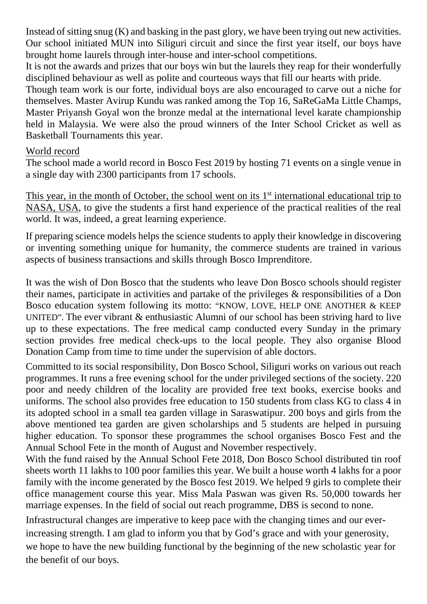Instead of sitting snug (K) and basking in the past glory, we have been trying out new activities. Our school initiated MUN into Siliguri circuit and since the first year itself, our boys have brought home laurels through inter-house and inter-school competitions.

It is not the awards and prizes that our boys win but the laurels they reap for their wonderfully disciplined behaviour as well as polite and courteous ways that fill our hearts with pride.

Though team work is our forte, individual boys are also encouraged to carve out a niche for themselves. Master Avirup Kundu was ranked among the Top 16, SaReGaMa Little Champs, Master Priyansh Goyal won the bronze medal at the international level karate championship held in Malaysia. We were also the proud winners of the Inter School Cricket as well as Basketball Tournaments this year.

### World record

The school made a world record in Bosco Fest 2019 by hosting 71 events on a single venue in a single day with 2300 participants from 17 schools.

This year, in the month of October, the school went on its  $1<sup>st</sup>$  international educational trip to NASA, USA, to give the students a first hand experience of the practical realities of the real world. It was, indeed, a great learning experience.

If preparing science models helps the science students to apply their knowledge in discovering or inventing something unique for humanity, the commerce students are trained in various aspects of business transactions and skills through Bosco Imprenditore.

It was the wish of Don Bosco that the students who leave Don Bosco schools should register their names, participate in activities and partake of the privileges & responsibilities of a Don Bosco education system following its motto: "KNOW, LOVE, HELP ONE ANOTHER & KEEP UNITED". The ever vibrant & enthusiastic Alumni of our school has been striving hard to live up to these expectations. The free medical camp conducted every Sunday in the primary section provides free medical check-ups to the local people. They also organise Blood Donation Camp from time to time under the supervision of able doctors.

Committed to its social responsibility, Don Bosco School, Siliguri works on various out reach programmes. It runs a free evening school for the under privileged sections of the society. 220 poor and needy children of the locality are provided free text books, exercise books and uniforms. The school also provides free education to 150 students from class KG to class 4 in its adopted school in a small tea garden village in Saraswatipur. 200 boys and girls from the above mentioned tea garden are given scholarships and 5 students are helped in pursuing higher education. To sponsor these programmes the school organises Bosco Fest and the Annual School Fete in the month of August and November respectively.

With the fund raised by the Annual School Fete 2018, Don Bosco School distributed tin roof sheets worth 11 lakhs to 100 poor families this year. We built a house worth 4 lakhs for a poor family with the income generated by the Bosco fest 2019. We helped 9 girls to complete their office management course this year. Miss Mala Paswan was given Rs. 50,000 towards her marriage expenses. In the field of social out reach programme, DBS is second to none.

Infrastructural changes are imperative to keep pace with the changing times and our everincreasing strength. I am glad to inform you that by God's grace and with your generosity, we hope to have the new building functional by the beginning of the new scholastic year for the benefit of our boys.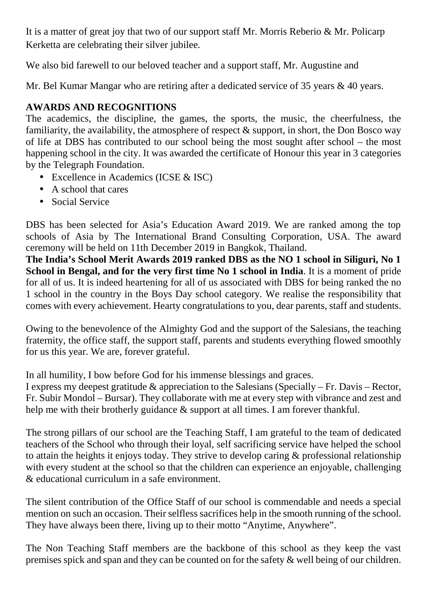It is a matter of great joy that two of our support staff Mr. Morris Reberio & Mr. Policarp Kerketta are celebrating their silver jubilee.

We also bid farewell to our beloved teacher and a support staff, Mr. Augustine and

Mr. Bel Kumar Mangar who are retiring after a dedicated service of 35 years & 40 years.

# **AWARDS AND RECOGNITIONS**

The academics, the discipline, the games, the sports, the music, the cheerfulness, the familiarity, the availability, the atmosphere of respect & support, in short, the Don Bosco way of life at DBS has contributed to our school being the most sought after school – the most happening school in the city. It was awarded the certificate of Honour this year in 3 categories by the Telegraph Foundation.

- Excellence in Academics (ICSE & ISC)
- A school that cares
- Social Service

DBS has been selected for Asia's Education Award 2019. We are ranked among the top schools of Asia by The International Brand Consulting Corporation, USA. The award ceremony will be held on 11th December 2019 in Bangkok, Thailand.

**The India's School Merit Awards 2019 ranked DBS as the NO 1 school in Siliguri, No 1 School in Bengal, and for the very first time No 1 school in India**. It is a moment of pride for all of us. It is indeed heartening for all of us associated with DBS for being ranked the no 1 school in the country in the Boys Day school category. We realise the responsibility that comes with every achievement. Hearty congratulations to you, dear parents, staff and students.

Owing to the benevolence of the Almighty God and the support of the Salesians, the teaching fraternity, the office staff, the support staff, parents and students everything flowed smoothly for us this year. We are, forever grateful.

In all humility, I bow before God for his immense blessings and graces.

I express my deepest gratitude & appreciation to the Salesians (Specially – Fr. Davis – Rector, Fr. Subir Mondol – Bursar). They collaborate with me at every step with vibrance and zest and help me with their brotherly guidance & support at all times. I am forever thankful.

The strong pillars of our school are the Teaching Staff, I am grateful to the team of dedicated teachers of the School who through their loyal, self sacrificing service have helped the school to attain the heights it enjoys today. They strive to develop caring & professional relationship with every student at the school so that the children can experience an enjoyable, challenging & educational curriculum in a safe environment.

The silent contribution of the Office Staff of our school is commendable and needs a special mention on such an occasion. Their selfless sacrifices help in the smooth running of the school. They have always been there, living up to their motto "Anytime, Anywhere".

The Non Teaching Staff members are the backbone of this school as they keep the vast premises spick and span and they can be counted on for the safety & well being of our children.